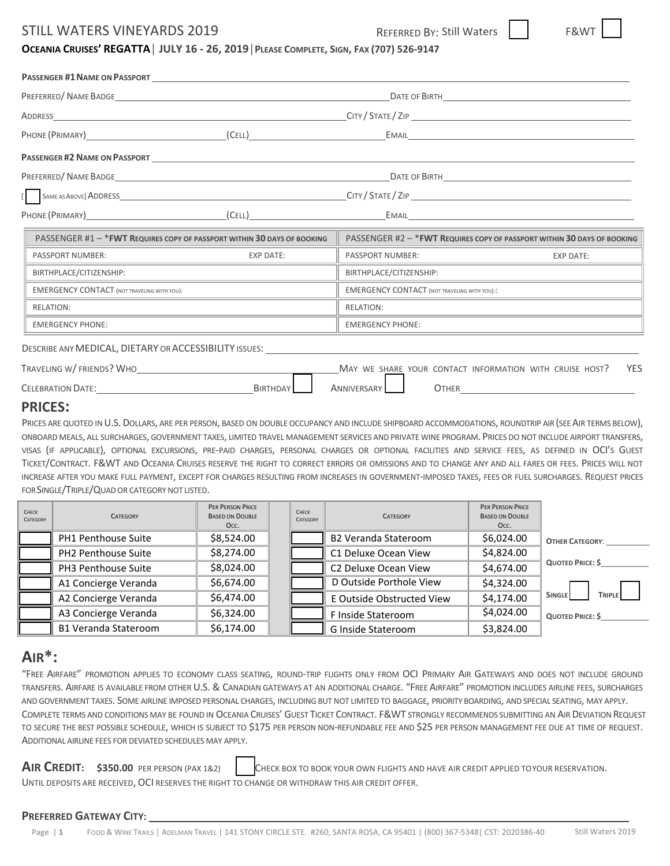### STILL WATERS VINEYARDS 2019 REFERRED BY: Still Waters



### OCEANIA CRUISES' REGATTA | JULY 16 - 26, 2019 | PLEASE COMPLETE, SIGN, FAX (707) 526-9147

|                                                             |                                                                          |                                                         | DATE OF BIRTH THE STATE OF BIRTH                                         |
|-------------------------------------------------------------|--------------------------------------------------------------------------|---------------------------------------------------------|--------------------------------------------------------------------------|
|                                                             |                                                                          |                                                         |                                                                          |
| PHONE (PRIMARY) (CELL)                                      |                                                                          |                                                         | EMAIL <b>Example 2008</b>                                                |
|                                                             |                                                                          |                                                         |                                                                          |
|                                                             |                                                                          |                                                         |                                                                          |
|                                                             |                                                                          |                                                         |                                                                          |
| PHONE (PRIMARY) (CELL) EMAIL EMAIL                          |                                                                          |                                                         |                                                                          |
|                                                             | PASSENGER #1 - * FWT REQUIRES COPY OF PASSPORT WITHIN 30 DAYS OF BOOKING |                                                         | PASSENGER #2 - * FWT REQUIRES COPY OF PASSPORT WITHIN 30 DAYS OF BOOKING |
| PASSPORT NUMBER:                                            | <b>EXP DATE:</b>                                                         | PASSPORT NUMBER:                                        | <b>EXP DATE:</b>                                                         |
| BIRTHPLACE/CITIZENSHIP:                                     |                                                                          | BIRTHPLACE/CITIZENSHIP:                                 |                                                                          |
| <b>EMERGENCY CONTACT (NOT TRAVELING WITH YOU):</b>          |                                                                          | <b>EMERGENCY CONTACT (NOT TRAVELING WITH YOU)::</b>     |                                                                          |
| <b>RELATION:</b>                                            |                                                                          | <b>RELATION:</b>                                        |                                                                          |
| <b>EMERGENCY PHONE:</b>                                     |                                                                          | <b>EMERGENCY PHONE:</b>                                 |                                                                          |
| DESCRIBE ANY MEDICAL, DIETARY OR ACCESSIBILITY ISSUES: \[\] |                                                                          |                                                         |                                                                          |
| TRAVELING W/FRIENDS? WHO                                    |                                                                          | MAY WE SHARE YOUR CONTACT INFORMATION WITH CRUISE HOST? | <b>YES</b>                                                               |
| CELEBRATION DATE: The CELEBRATION DATE:                     | BIRTHDAY                                                                 | ANNIVERSARY                                             | <b>OTHER CONTROLLER</b>                                                  |

### **PRICES:**

PRICES ARE QUOTED IN U.S. DOLLARS, ARE PER PERSON, BASED ON DOUBLE OCCUPANCY AND INCLUDE SHIPBOARD ACCOMMODATIONS, ROUNDTRIP AIR (SEE AIR TERMS BELOW), ONBOARD MEALS, ALL SURCHARGES, GOVERNMENT TAXES, LIMITED TRAVEL MANAGEMENT SERVICES AND PRIVATE WINE PROGRAM. PRICES DO NOT INCLUDE AIRPORT TRANSFERS, VISAS (IF APPLICABLE), OPTIONAL EXCURSIONS, PRE-PAID CHARGES, PERSONAL CHARGES OR OPTIONAL FACILITIES AND SERVICE FEES, AS DEFINED IN OCI'S GUEST TICKET/CONTRACT. F&WT AND OCEANIA CRUISES RESERVE THE RIGHT TO CORRECT ERRORS OR OMISSIONS AND TO CHANGE ANY AND ALL FARES OR FEES. PRICES WILL NOT INCREASE AFTER YOU MAKE FULL PAYMENT, EXCEPT FOR CHARGES RESULTING FROM INCREASES IN GOVERNMENT‐IMPOSED TAXES, FEES OR FUEL SURCHARGES. REQUEST PRICES FOR SINGLE/TRIPLE/QUAD OR CATEGORY NOT LISTED.

| CHECK<br>CATEGORY | <b>CATEGORY</b>             | <b>PER PERSON PRICE</b><br><b>BASED ON DOUBLE</b><br>Occ. | CHECK<br>CATEGORY | <b>CATEGORY</b>             | <b>PER PERSON PRICE</b><br><b>BASED ON DOUBLE</b><br>Occ. |                                |
|-------------------|-----------------------------|-----------------------------------------------------------|-------------------|-----------------------------|-----------------------------------------------------------|--------------------------------|
|                   | <b>PH1 Penthouse Suite</b>  | \$8,524.00                                                |                   | <b>B2 Veranda Stateroom</b> | \$6,024.00                                                | <b>OTHER CATEGORY:</b>         |
|                   | <b>PH2 Penthouse Suite</b>  | \$8,274.00                                                |                   | C1 Deluxe Ocean View        | \$4,824.00                                                |                                |
|                   | PH3 Penthouse Suite         | \$8,024.00                                                |                   | C2 Deluxe Ocean View        | \$4,674.00                                                | QUOTED PRICE: \$               |
|                   | A1 Concierge Veranda        | \$6,674.00                                                |                   | D Outside Porthole View     | \$4,324.00                                                |                                |
|                   | A2 Concierge Veranda        | \$6,474.00                                                |                   | E Outside Obstructed View   | \$4,174.00                                                | <b>SINGLE</b><br><b>TRIPLE</b> |
|                   | A3 Concierge Veranda        | \$6,324.00                                                |                   | F Inside Stateroom          | \$4,024.00                                                | <b>QUOTED PRICE: \$</b>        |
|                   | <b>B1 Veranda Stateroom</b> | \$6,174.00                                                |                   | G Inside Stateroom          | \$3,824.00                                                |                                |

## **AIR\*:**

"FREE AIRFARE" PROMOTION APPLIES TO ECONOMY CLASS SEATING, ROUND‐TRIP FLIGHTS ONLY FROM OCI PRIMARY AIR GATEWAYS AND DOES NOT INCLUDE GROUND TRANSFERS. AIRFARE IS AVAILABLE FROM OTHER U.S. & CANADIAN GATEWAYS AT AN ADDITIONAL CHARGE. "FREE AIRFARE" PROMOTION INCLUDES AIRLINE FEES, SURCHARGES AND GOVERNMENT TAXES. SOME AIRLINE IMPOSED PERSONAL CHARGES, INCLUDING BUT NOT LIMITED TO BAGGAGE, PRIORITY BOARDING, AND SPECIAL SEATING, MAY APPLY. COMPLETE TERMS AND CONDITIONS MAY BE FOUND IN OCEANIA CRUISES' GUEST TICKET CONTRACT. F&WT STRONGLY RECOMMENDS SUBMITTING AN AIR DEVIATION REQUEST TO SECURE THE BEST POSSIBLE SCHEDULE, WHICH IS SUBJECT TO \$175 PER PERSON NON-REFUNDABLE FEE AND \$25 PER PERSON MANAGEMENT FEE DUE AT TIME OF REQUEST. ADDITIONAL AIRLINE FEES FOR DEVIATED SCHEDULES MAY APPLY.

**AIR CREDIT: \$350.00** PER PERSON (PAX 1&2) CHECK BOX TO BOOK YOUR OWN FLIGHTS AND HAVE AIR CREDIT APPLIED TOYOUR RESERVATION. UNTIL DEPOSITS ARE RECEIVED, OCI RESERVES THE RIGHT TO CHANGE OR WITHDRAW THIS AIR CREDIT OFFER.

#### **PREFERRED GATEWAY CITY:**

Page | **1** FOOD & WINE TRAILS │ ADELMAN TRAVEL | 141 STONY CIRCLE STE. #260, SANTA ROSA, CA 95401 | (800) 367‐5348| CST: 2020386‐40 Still Waters 2019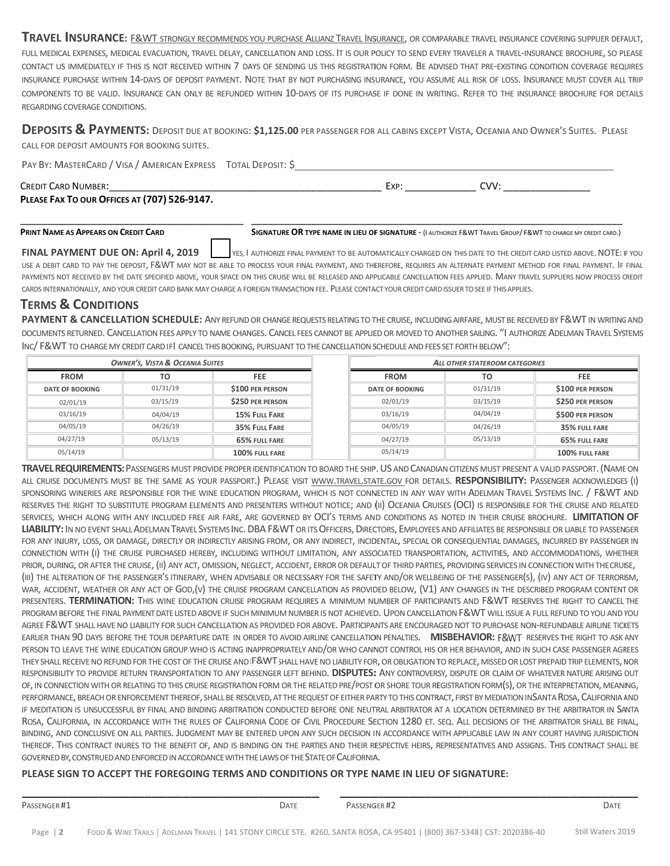TRAVEL INSURANCE: E&WT STRONGLY RECOMMENDS YOU PURCHASE ALLIANZ TRAVEL INSURANCE, OR COMPARABLE TRAVEL INSURANCE COVERING SUPPLIER DEFAULT, FULL MEDICAL EXPENSES, MEDICAL EVACUATION, TRAVEL DELAY, CANCELLATION AND LOSS. IT IS OUR POLICY TO SEND EVERY TRAVELER A TRAVEL-INSURANCE BROCHURE, SO PLEASE CONTACT US IMMEDIATELY IF THIS IS NOT RECEIVED WITHIN 7 DAYS OF SENDING US THIS REGISTRATION FORM. BE ADVISED THAT PRE-EXISTING CONDITION COVERAGE REQUIRES INSURANCE PURCHASE WITHIN 14-DAYS OF DEPOSIT PAYMENT. NOTE THAT BY NOT PURCHASING INSURANCE, YOU ASSUME ALL RISK OF LOSS. INSURANCE MUST COVER ALL TRIP COMPONENTS TO BE VALID. INSURANCE CAN ONLY BE REFUNDED WITHIN 10-DAYS OF ITS PURCHASE IF DONE IN WRITING. REFER TO THE INSURANCE BROCHURE FOR DETAILS REGARDING COVERAGE CONDITIONS.

DEPOSITS & PAYMENTS: DEPOSIT DUE AT BOOKING: \$1,125.00 PER PASSENGER FOR ALL CABINS EXCEPT VISTA, OCEANIA AND OWNER'S SUITES. PLEASE CALL FOR DEPOSIT AMOUNTS FOR BOOKING SUITES.

PAY BY: MASTERCARD / VISA / AMERICAN EXPRESS TOTAL DEPOSIT: \$ CREDIT CARD NUMBER: \_\_\_\_\_\_\_\_\_\_\_\_\_ \_\_\_\_\_\_\_\_\_\_\_\_ \_\_\_\_\_\_\_\_\_\_\_\_\_ \_\_\_\_\_\_\_\_\_\_\_\_ \_\_ EXP: \_\_\_\_\_\_\_ \_\_\_\_\_\_\_\_ CVV: : \_\_\_\_\_\_\_\_\_\_\_  $\overline{\phantom{a}}$ 

\_\_\_\_\_\_\_\_\_\_\_\_

**PLEASE FAX X TO OUR OFFICE S AT (707) 526 ‐9147.**

\_\_\_\_\_\_\_\_\_\_\_\_

\_\_\_\_\_\_\_\_\_\_\_

#### **PRINT NAME E AS APPEARS ON C REDIT CARD**  \_\_\_\_\_\_\_\_\_\_\_\_\_

\_\_\_\_\_\_\_\_

**SIGNATURE OR TYPE NAME IN LIEU OF SIGNATURE - (I AUTHORIZE F&WT TRAVEL GROUP/ F&WT TO CHARGE MY CREDIT CARD.)** 

\_\_\_\_\_\_\_\_\_\_\_\_

\_\_\_\_\_\_\_\_\_\_\_\_\_

\_\_\_\_\_\_\_\_\_\_\_

\_\_\_\_\_\_\_\_\_\_\_\_\_

**FINAL PA AYMENT DUE O N: April 4, 2019** USE A DEBIT CARD TO PAY THE DEPOSIT, F&WT MAY NOT BE ABLE TO PROCESS YOUR FINAL PAYMENT, AND THEREFORE, REQUIRES AN ALTERNATE PAYMENT METHOD FOR FINAL PAYMENT. IF FINAL PAYMENTS NOT RECEIVED BY THE DATE SPECIFIED ABOVE, YOUR SPACE ON THIS CRUISE WILL BE RELEASED AND APPLICABLE CANCELLATION FEES APPLIED. MANY TRAVEL SUPPLIERS NOW PROCESS CREDIT CARDS INTERNATIONALLY, AND YOUR CREDIT CARD BANK MAY CHARGE A FOREIGN TRANSACTION FEE. PLEASE CONTACT YOUR CREDIT CARD ISSUER TO SEE IF THIS APPLIES. YES, I AUTHORIZE FINAL PAYMENT TO BE AUTOMATICALLY CHARGED ON THIS DATE TO THE CREDIT CARD LISTED ABOVE. NOTE: I E<br>IF YOU

\_\_\_\_\_\_\_\_\_\_\_\_

## **TERMS & CONDITIO NS**

PAYMENT & CANCELLATION SCHEDULE: ANY REFUND OR CHANGE REQUESTS RELATING TO THE CRUISE, INCLUDING AIRFARE, MUST BE RECEIVED BY F&WT IN WRITING AND DOCUMENTS RETURNED. CANCELLATION FEES APPLY TO NAME CHANGES. CANCEL FEES CANNOT BE APPLIED OR MOVED TO ANOTHER SAILING. "I AUTHORIZE ADELMAN TRAVEL SYSTEMS INC/ F&WT TO CHARGE MY CREDIT CARD IFI CANCEL THIS BOOKING, PURSUANT TO THE CANCELLATION SCHEDULE AND FEES SET FORTH BELOW":

| <b>OWNER'S, VISTA &amp; OCEANIA SUITES</b> |          | ALL OTHER STATEROOM CATEGORIES |                        |          |                         |
|--------------------------------------------|----------|--------------------------------|------------------------|----------|-------------------------|
| <b>FROM</b>                                | TO       | <b>FEE</b>                     | <b>FROM</b>            | то       | <b>FEE</b>              |
| <b>DATE OF BOOKING</b>                     | 01/31/19 | \$100 PER PERSON               | <b>DATE OF BOOKING</b> | 01/31/19 | \$100 PER PERSON        |
| 02/01/19                                   | 03/15/19 | <b>\$250 PER PERSON</b>        | 02/01/19               | 03/15/19 | <b>\$250 PER PERSON</b> |
| 03/16/19                                   | 04/04/19 | 15% FULL FARE                  | 03/16/19               | 04/04/19 | \$500 PER PERSON        |
| 04/05/19                                   | 04/26/19 | 35% FULL FARE                  | 04/05/19               | 04/26/19 | 35% FULL FARE           |
| 04/27/19                                   | 05/13/19 | 65% FULL FARE                  | 04/27/19               | 05/13/19 | 65% FULL FARE           |
| 05/14/19                                   |          | 100% FULL FARE                 | 05/14/19               |          | 100% FULL FARE          |

TRAVEL REQUIREMENTS: PASSENGERS MUST PROVIDE PROPER IDENTIFICATION TO BOARD THE SHIP. US AND CANADIAN CITIZENS MUST PRESENT A VALID PASSPORT. (NAME ON all cruise documents must be the same as your passport.) Please visit <u>www.travel.state.gov f</u>or details. **RESPONSIBILITY:** Passenger acknowledges (i) sponsoring wineries are responsible for the wine education program, which is not connected in any way with Adelman Travel Systems Inc. / F&WT and RESERVES THE RIGHT TO SUBSTITUTE PROGRAM ELEMENTS AND PRESENTERS WITHOUT NOTICE; AND (II) OCEANIA CRUISES (OCI) IS RESPONSIBLE FOR THE CRUISE AND RELATED services, which along with any included free air fare, are governed by OCI's terms and conditions as noted in their cruise brochure. LIMITATION OF LIABILITY: IN NO EVENT SHALL ADELMAN TRAVEL SYSTEMS INC. DBA F&WT OR ITS OFFICERS, DIRECTORS, EMPLOYEES AND AFFILIATES BE RESPONSIBLE OR LIABLE TO PASSENGER FOR ANY INJURY, LOSS, OR DAMAGE, DIRECTLY OR INDIRECTLY ARISING FROM, OR ANY INDIRECT, INCIDENTAL, SPECIAL OR CONSEQUENTIAL DAMAGES, INCURRED BY PASSENGER IN CONNECTION WITH (I) THE CRUISE PURCHASED HEREBY, INCLUDING WITHOUT LIMITATION, ANY ASSOCIATED TRANSPORTATION, ACTIVITIES, AND ACCOMMODATIONS, WHETHER PRIOR, DURING, OR AFTER THE CRUISE, (II) ANY ACT, OMISSION, NEGLECT, ACCIDENT, ERROR OR DEFAULT OF THIRD PARTIES, PROVIDING SERVICES IN CONNECTION WITH THE CRUISE, (III) THE ALTERATION OF THE PASSENGER'S ITINERARY, WHEN ADVISABLE OR NECESSARY FOR THE SAFETY AND/OR WELLBEING OF THE PASSENGER(S), (IV) ANY ACT OF TERRORISM, WAR, ACCIDENT, WEATHER OR ANY ACT OF GOD,(V) THE CRUISE PROGRAM CANCELLATION AS PROVIDED BELOW, (V1) ANY CHANGES IN THE DESCRIBED PROGRAM CONTENT OR PRESENTERS. TERMINATION: THIS WINE EDUCATION CRUISE PROGRAM REQUIRES A MINIMUM NUMBER OF PARTICIPANTS AND F&WT RESERVES THE RIGHT TO CANCEL THE PROGRAM BEFORE THE FINAL PAYMENT DATE LISTED ABOVE IF SUCH MINIMUM NUMBER IS NOT ACHIEVED. UPON CANCELLATION F&WT WILL ISSUE A FULL REFUND TO YOU AND YOU AGREE F&WT SHALL HAVE NO LIABILITY FOR SUCH CANCELLATION AS PROVIDED FOR ABOVE. PARTICIPANTS ARE ENCOURAGED NOT TO PURCHASE NON-REFUNDABLE AIRLINE TICKETS EARLIER THAN 90 DAYS BEFORE THE TOUR DEPARTURE DATE IN ORDER TO AVOID AIRLINE CANCELLATION PENALTIES. **MISBEHAVIOR:** F&WT RESERVES THE RIGHT TO ASK ANY PERSON TO LEAVE THE WINE EDUCATION GROUP WHO IS ACTING INAPPROPRIATELY AND/OR WHO CANNOT CONTROL HIS OR HER BEHAVIOR, AND IN SUCH CASE PASSENGER AGREES THEY SHALL RECEIVE NO REFUND FOR THE COST OF THE CRUISE AND |F&WT SHALL HAVE NO LIABILITY FOR, OR OBLIGATION TO REPLACE, MISSED OR LOST PREPAID TRIP ELEMENTS, NOR RESPONSIBILITY TO PROVIDE RETURN TRANSPORTATION TO ANY PASSENGER LEFT BEHIND. DISPUTES: ANY CONTROVERSY, DISPUTE OR CLAIM OF WHATEVER NATURE ARISING OUT OF, IN CONNECTION WITH OR RELATING TO THIS CRUISE REGISTRATION FORM OR THE RELATED PRE/POST OR SHORE TOUR REGISTRATION FORM(S), OR THE INTERPRETATION, MEANING, PERFORMANCE, BREACH OR ENFORCEMENT THEREOF, SHALL BE RESOLVED, AT THE REQUEST OF EITHER PARTY TO THIS CONTRACT, FIRST BY MEDIATION INSANTA ROSA, CALIFORNIA AND IF MEDITATION IS UNSUCCESSFUL BY FINAL AND BINDING ARBITRATION CONDUCTED BEFORE ONE NEUTRAL ARBITRATOR AT A LOCATION DETERMINED BY THE ARBITRATOR IN SANTA ROSA, CALIFORNIA, IN ACCORDANCE WITH THE RULES OF CALIFORNIA CODE OF CIVIL PROCEDURE SECTION 1280 ET. SEQ. ALL DECISIONS OF THE ARBITRATOR SHALL BE FINAL, BINDING, AND CONCLUSIVE ON ALL PARTIES. JUDGMENT MAY BE ENTERED UPON ANY SUCH DECISION IN ACCORDANCE WITH APPLICABLE LAW IN ANY COURT HAVING JURISDICTION thereof. This contract inures to the benefit of, and is binding on the parties and their respective heirs, representatives and assigns. This contract shall be GOVERNED BY, CONSTRUED AND ENFORCED IN ACCORDANCE WITH THE LAWS OF THE STATE OF CALIFORNIA.

#### PLEASE SIGN TO ACCEPT THE FOREGOING TERMS AND CONDITIONS OR TYPE NAME IN LIEU OF SIGNATURE:

\_\_\_\_\_\_\_\_\_

\_\_\_\_\_\_ PASSENGER#1

\_\_\_\_\_\_\_\_\_

\_\_\_\_\_\_\_\_\_

\_\_\_\_\_\_\_\_\_\_

PASSENGER#2

\_\_\_\_\_\_\_\_\_

\_\_\_\_\_\_\_\_\_

\_\_\_\_\_\_\_\_\_\_

\_ \_\_\_\_\_

 $\overline{\phantom{a}}$ 

\_\_\_\_\_\_\_\_\_